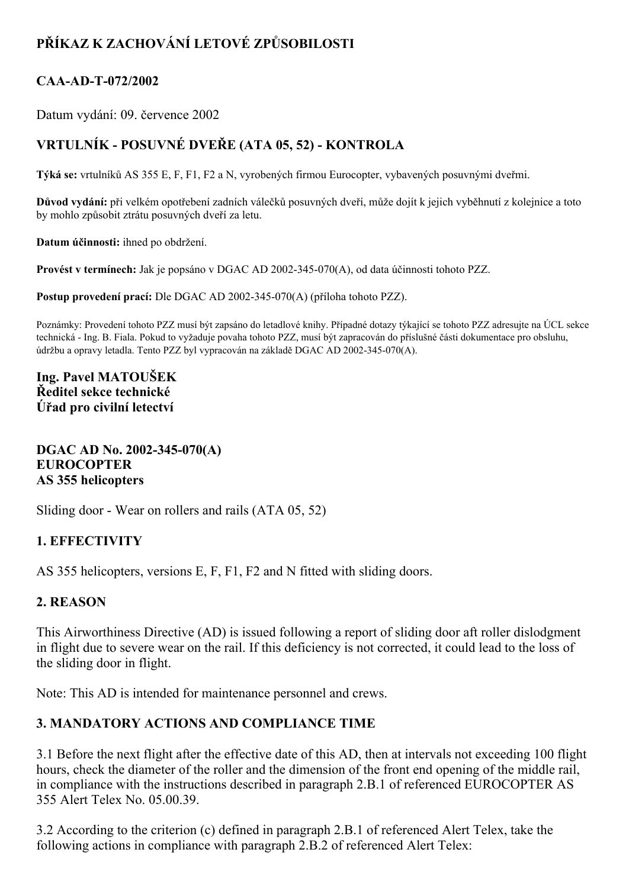# **PŘÍKAZ K ZACHOVÁNÍ LETOVÉ ZPŮSOBILOSTI**

## CAA-AD-T-072/2002

Datum vydání: 09. července 2002

## **VRTULNÍK POSUVNÉ DVEŘE (ATA 05, 52) KONTROLA**

**Týká se:** vrtulníků AS 355 E, F, F1, F2 a N, vyrobených firmou Eurocopter, vybavených posuvnými dveřmi.

**Důvod vydání:** při velkém opotřebení zadních válečků posuvných dveří, může dojít k jejich vyběhnutí z kolejnice a toto by mohlo způsobit ztrátu posuvných dveří za letu.

**Datum účinnosti:** ihned po obdržení.

**Provést v termínech:** Jak je popsáno v DGAC AD 2002-345-070(A), od data účinnosti tohoto PZZ.

**Postup provedení prací:** Dle DGAC AD 2002-345-070(A) (příloha tohoto PZZ).

Poznámky: Provedení tohoto PZZ musí být zapsáno do letadlové knihy. Případné dotazy týkající se tohoto PZZ adresujte na ÚCL sekce technická Ing. B. Fiala. Pokud to vyžaduje povaha tohoto PZZ, musí být zapracován do příslušné části dokumentace pro obsluhu, údržbu a opravy letadla. Tento PZZ byl vypracován na základě DGAC AD 2002-345-070(A).

**Ing. Pavel MATOUŠEK Ředitel sekce technické Úřad pro civilní letectví**

**DGAC AD No.** 2002-345-070(A) **EUROCOPTER AS 355 helicopters**

Sliding door - Wear on rollers and rails (ATA 05, 52)

#### **1. EFFECTIVITY**

AS 355 helicopters, versions E, F, F1, F2 and N fitted with sliding doors.

#### **2. REASON**

This Airworthiness Directive (AD) is issued following a report of sliding door aft roller dislodgment in flight due to severe wear on the rail. If this deficiency is not corrected, it could lead to the loss of the sliding door in flight.

Note: This AD is intended for maintenance personnel and crews.

### **3. MANDATORY ACTIONS AND COMPLIANCE TIME**

3.1 Before the next flight after the effective date of this AD, then at intervals not exceeding 100 flight hours, check the diameter of the roller and the dimension of the front end opening of the middle rail, in compliance with the instructions described in paragraph 2.B.1 of referenced EUROCOPTER AS 355 Alert Telex No. 05.00.39.

3.2 According to the criterion (c) defined in paragraph 2.B.1 of referenced Alert Telex, take the following actions in compliance with paragraph 2.B.2 of referenced Alert Telex: